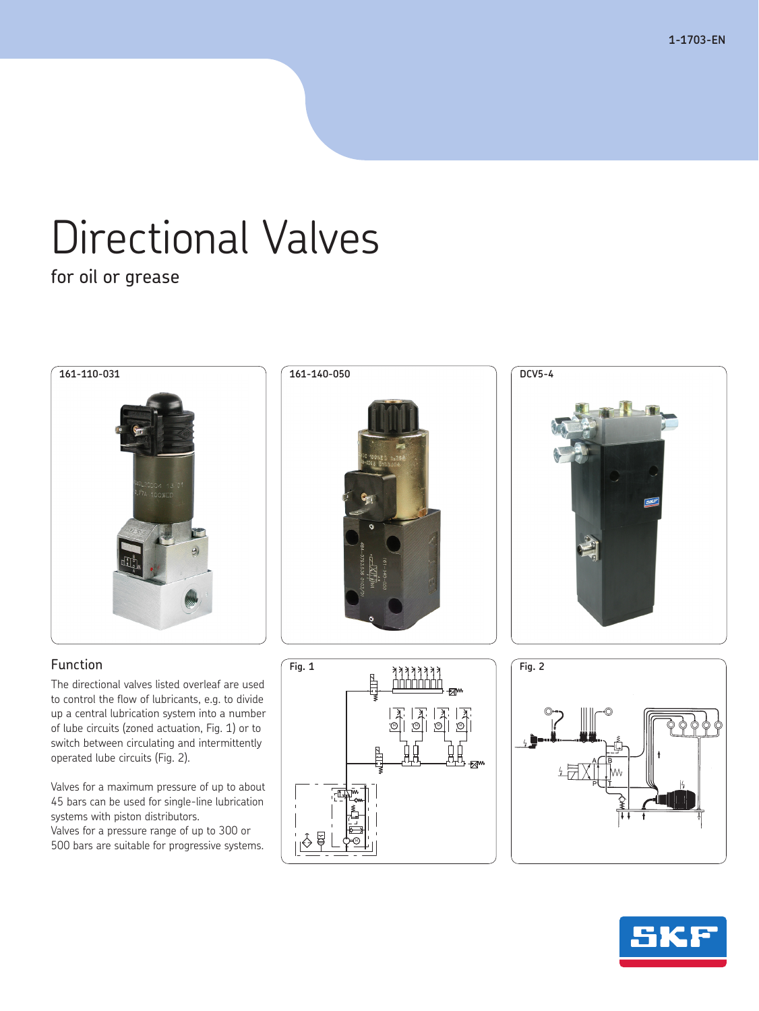**1-1703-EN**

# Directional Valves

for oil or grease

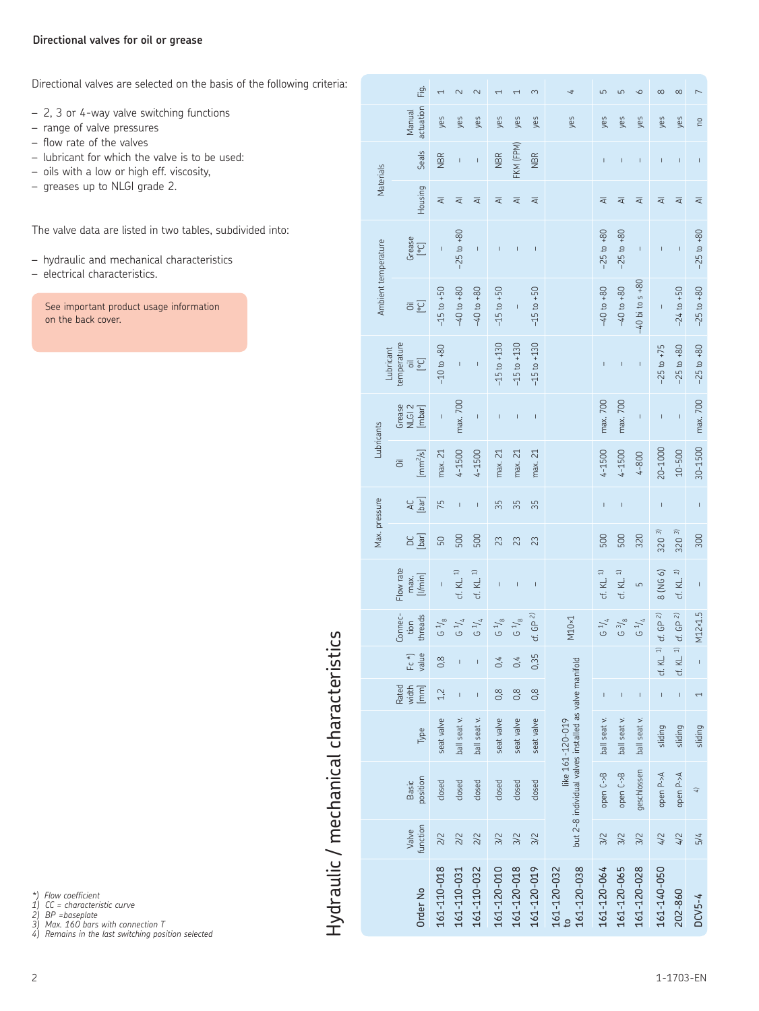## **Directional valves for oil or grease**

Directional valves are selected on the basis of the following criteria:

- 2, 3 or 4-way valve switching functions
- range of valve pressures
- flow rate of the valves
- lubricant for which the valve is to be used:
- oils with a low or high eff. viscosity,
- greases up to NLGI grade 2.

The valve data are listed in two tables, subdivided into:

- hydraulic and mechanical characteristics
- electrical characteristics.

See important product usage information on the back cover.

> Hydraulic / mechanical characteristics Hydraulic / mechanical characteristics

|                     | نج<br>ت                                    | $\overline{ }$ | $\overline{\mathsf{c}}$  | $\sim$                   | $\overline{\phantom{0}}$ | $\overline{ }$           | 3               | 4                                                     | 5                        | 5                                                                                                                                                                                                                                                                                                                                                                                                              | $\circ$             | $\infty$                                                                                                                                                                                                                                                                                                                                                                         | $\infty$                 |                |
|---------------------|--------------------------------------------|----------------|--------------------------|--------------------------|--------------------------|--------------------------|-----------------|-------------------------------------------------------|--------------------------|----------------------------------------------------------------------------------------------------------------------------------------------------------------------------------------------------------------------------------------------------------------------------------------------------------------------------------------------------------------------------------------------------------------|---------------------|----------------------------------------------------------------------------------------------------------------------------------------------------------------------------------------------------------------------------------------------------------------------------------------------------------------------------------------------------------------------------------|--------------------------|----------------|
|                     | actuation<br>Vlanual                       | yes            | yes                      | yes                      | yes                      | yes                      | yes             | yes                                                   | yes                      | yes                                                                                                                                                                                                                                                                                                                                                                                                            | yes                 | yes                                                                                                                                                                                                                                                                                                                                                                              | yes                      | <b>Du</b>      |
|                     | <b>Seals</b>                               | <b>NBR</b>     | I                        | $\mathbf{I}$             | <b>NBR</b>               | FKM (FPM)                | <b>NBR</b>      |                                                       | I                        | $\overline{1}$                                                                                                                                                                                                                                                                                                                                                                                                 | $\overline{1}$      | I                                                                                                                                                                                                                                                                                                                                                                                | $\overline{1}$           | Ī.             |
| Materials           | <b>Housing</b>                             | ₹              | ₹                        | ₹                        | ₹                        | ₹                        | ₹               |                                                       | ₹                        | ₹                                                                                                                                                                                                                                                                                                                                                                                                              | ₹                   | ₹                                                                                                                                                                                                                                                                                                                                                                                | ₹                        | ₹              |
| Ambient temperature | Grease<br>$[{\circ}C]$                     | Ī,             | $-25$ to $+80$           | $\mathbf{I}$             | T                        | $\overline{1}$           | $\overline{1}$  |                                                       | $-25$ to $+80$           | $-25$ to $+80$                                                                                                                                                                                                                                                                                                                                                                                                 | $\overline{1}$      | Ī                                                                                                                                                                                                                                                                                                                                                                                | $\mathsf{I}$             | $-25$ to $+80$ |
|                     | [°C]<br>$\overline{5}$                     | $-15$ to $+50$ | $-40$ to $+80$           | $-40$ to $+80$           | $-15$ to $+50$           | $\mathsf I$              | $-15$ to $+50$  |                                                       | $-40$ to $+80$           | $-40$ to $+80$                                                                                                                                                                                                                                                                                                                                                                                                 | $-40$ bi to s $+80$ | I                                                                                                                                                                                                                                                                                                                                                                                | $-24$ to $+50$           | $-25$ to $+80$ |
| Lubricant           | temperature<br>[°C]<br>$\overline{\circ}$  | $-10$ to $+80$ | $\mathbf{I}$             | $\mathbf{I}$             | $-15$ to $+130$          | $-15$ to $+130$          | $-15$ to $+130$ |                                                       | T                        | $\mathsf I$                                                                                                                                                                                                                                                                                                                                                                                                    | $\mathsf{I}$        | $-25$ to $+75$                                                                                                                                                                                                                                                                                                                                                                   | $-25$ to $+80$           | $-25$ to $+80$ |
|                     | Grease<br>NLGI <sub>2</sub><br>[mbar]      | $\overline{1}$ | max. 700                 | $\overline{1}$           | L                        | $\overline{\phantom{a}}$ | $\overline{1}$  |                                                       | max. 700                 | max. 700                                                                                                                                                                                                                                                                                                                                                                                                       | Ï                   | $\mathsf{I}$                                                                                                                                                                                                                                                                                                                                                                     | $\overline{1}$           | max. 700       |
| Lubricants          | $\left[\text{mm}^2/\text{s}\right]$<br>öil | max. 21        | 4-1500                   | $4 - 1500$               | max. 21                  | max. 21                  | max. 21         |                                                       | $4 - 1500$               | $4 - 1500$                                                                                                                                                                                                                                                                                                                                                                                                     | 4-800               | 20-1000                                                                                                                                                                                                                                                                                                                                                                          | $10 - 500$               | 30-1500        |
|                     | [bar]<br><b>AC</b>                         | 75             | $\mathbf{I}$             | $\mathsf{I}$             | 35                       | 35                       | 35              |                                                       | Ī                        | $\overline{1}$                                                                                                                                                                                                                                                                                                                                                                                                 |                     | $\mathsf I$                                                                                                                                                                                                                                                                                                                                                                      |                          | Ī,             |
| Max. pressure       | [bar]                                      | 50             | 500                      | 500                      | 23                       | 23                       | 23              |                                                       | 500                      | 500                                                                                                                                                                                                                                                                                                                                                                                                            | 320                 | 320 <sup>3</sup>                                                                                                                                                                                                                                                                                                                                                                 | 320 <sup>3</sup>         | 300            |
|                     | Flow rate<br>[I/min]<br>max.               | Ī              | KL. 1)<br>ť              | KL. 1<br>ť               | I                        | $\overline{1}$           | $\overline{1}$  |                                                       | $\widehat{H}$<br>cf. KL. | df. KL. 1)                                                                                                                                                                                                                                                                                                                                                                                                     | LN                  | 8 (NG 6)                                                                                                                                                                                                                                                                                                                                                                         | cf. KL. $1$              | Ī              |
|                     | Connec-<br>threads<br>tion                 | $G\sqrt[1]{8}$ | 61/4                     | G 1/4                    | $G\sqrt[1]{8}$           | $G1$ 8                   | cf. GP $2$      | M10×1                                                 | G 1/4                    | $G \frac{3}{8}$                                                                                                                                                                                                                                                                                                                                                                                                | $G^{1/4}$           | cf. GP $2$                                                                                                                                                                                                                                                                                                                                                                       | cf. GP $2$               | M12×1.5        |
|                     | value<br>$Fc$ *)                           | 0,8            | $\overline{\phantom{a}}$ | $\overline{\phantom{a}}$ | 0.4                      | 0.4                      | 0,35            |                                                       |                          |                                                                                                                                                                                                                                                                                                                                                                                                                |                     | cf. KL. $1$                                                                                                                                                                                                                                                                                                                                                                      | cf. KL. $1$              | $\mathbf{I}$   |
|                     | Rated<br>$\frac{1}{\sqrt{2}}$              | 1,2            | $\overline{\phantom{a}}$ | $\mathsf{I}$             | $\frac{8}{2}$            | 0,8                      | 0,8             |                                                       | $\overline{\phantom{a}}$ | $\begin{array}{c} \rule{0pt}{2ex} \rule{0pt}{2ex} \rule{0pt}{2ex} \rule{0pt}{2ex} \rule{0pt}{2ex} \rule{0pt}{2ex} \rule{0pt}{2ex} \rule{0pt}{2ex} \rule{0pt}{2ex} \rule{0pt}{2ex} \rule{0pt}{2ex} \rule{0pt}{2ex} \rule{0pt}{2ex} \rule{0pt}{2ex} \rule{0pt}{2ex} \rule{0pt}{2ex} \rule{0pt}{2ex} \rule{0pt}{2ex} \rule{0pt}{2ex} \rule{0pt}{2ex} \rule{0pt}{2ex} \rule{0pt}{2ex} \rule{0pt}{2ex} \rule{0pt}{$ | $\mathbf{I}$        | $\begin{array}{c} \rule{0pt}{2.5ex} \rule{0pt}{2.5ex} \rule{0pt}{2.5ex} \rule{0pt}{2.5ex} \rule{0pt}{2.5ex} \rule{0pt}{2.5ex} \rule{0pt}{2.5ex} \rule{0pt}{2.5ex} \rule{0pt}{2.5ex} \rule{0pt}{2.5ex} \rule{0pt}{2.5ex} \rule{0pt}{2.5ex} \rule{0pt}{2.5ex} \rule{0pt}{2.5ex} \rule{0pt}{2.5ex} \rule{0pt}{2.5ex} \rule{0pt}{2.5ex} \rule{0pt}{2.5ex} \rule{0pt}{2.5ex} \rule{0$ | $\overline{\phantom{a}}$ | 1              |
|                     | Type                                       | seat valve     | ball seat v.             | ball seat v.             | seat valve               | seat valve               | seat valve      | like 161-120-019                                      | ball seat v.             | ball seat v.                                                                                                                                                                                                                                                                                                                                                                                                   | ball seat v.        | sliding                                                                                                                                                                                                                                                                                                                                                                          | sliding                  | sliding        |
|                     | position<br><b>Basic</b>                   | closed         | closed                   | closed                   | closed                   | closed                   | closed          | but 2-8 individual valves installed as valve manifold | open C->B                | open C->B                                                                                                                                                                                                                                                                                                                                                                                                      | geschlossen         | open P->A                                                                                                                                                                                                                                                                                                                                                                        | open P->A                | $\overline{4}$ |
|                     | function<br>Valve                          | 2/2            | 2/2                      | 2/2                      | 3/2                      | 3/2                      | 3/2             |                                                       | 3/2                      | 3/2                                                                                                                                                                                                                                                                                                                                                                                                            | 3/2                 | 4/2                                                                                                                                                                                                                                                                                                                                                                              | 4/2                      | 5/4            |
|                     | Order No                                   | 161-110-018    | 161-110-031              | 161-110-032              | 161-120-010              | 161-120-018              | 161-120-019     | 161-120-038<br>161-120-032                            | 161-120-064              | 161-120-065                                                                                                                                                                                                                                                                                                                                                                                                    | 161-120-028         | 161-140-050                                                                                                                                                                                                                                                                                                                                                                      | 202-860                  | DCV5-4         |

*\*) Flow coefficient 1) CC = characteristic curve 2) BP =baseplate 3) Max. 160 bars with connection T 4) Remains in the last switching position selected*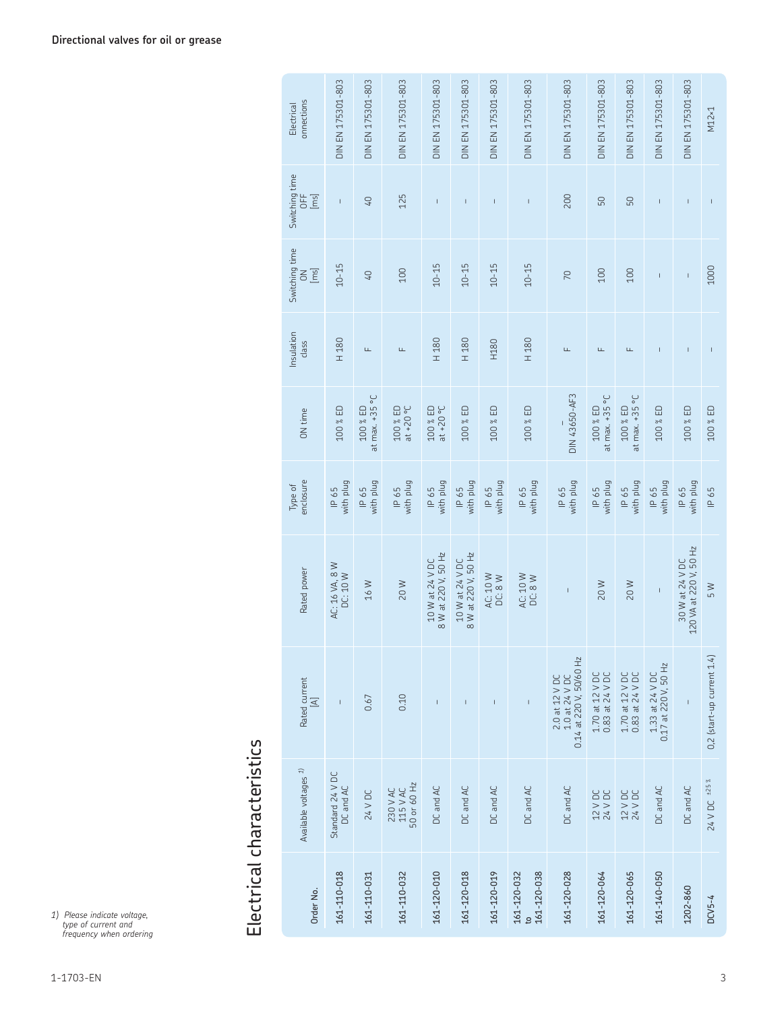| Order No.                  | Available voltages $1$              | Rated current<br>$\mathbb{Z}$                               | Rated power                               | enclosure<br>Type of | ON time                      | Insulation<br>class | Switching time<br>$[\mathrm{m}\mathrm{s}]$<br>$\leq$ | Switching time<br>bh<br>[ie] | onnections<br>Electrical |
|----------------------------|-------------------------------------|-------------------------------------------------------------|-------------------------------------------|----------------------|------------------------------|---------------------|------------------------------------------------------|------------------------------|--------------------------|
| 161-110-018                | Standard 24 V DC<br>DC and AC       | $\bar{\rm I}$                                               | AC: 16 VA, 8 W<br>DC: 10 W                | with plug<br>IP 65   | 100 % ED                     | H 180               | $10 - 15$                                            | $\mathsf I$                  | DIN EN 175301-803        |
| 161-110-031                | 24 V DC                             | 0.67                                                        | 16 W                                      | with plug<br>IP 65   | at max. $+35$ °C<br>100 % ED | Щ                   | 40                                                   | $Q+$                         | DIN EN 175301-803        |
| 161-110-032                | 50 or 60 Hz<br>230 V AC<br>115 V AC | 0.10                                                        | 20W                                       | with plug<br>IP 65   | $200\%$ ED<br>at +20 °C      | Щ                   | 100                                                  | 125                          | DIN EN 175301-803        |
| 161-120-010                | DC and AC                           | $\mathsf I$                                                 | 8 W at 220 V, 50 Hz<br>10 W at 24 V DC    | with plug<br>IP 65   | 100 % ED<br>20°C             | H 180               | $10 - 15$                                            | $\mathsf I$                  | DIN EN 175301-803        |
| 161-120-018                | DC and AC                           | $\mathsf I$                                                 | 8 W at 220 V, 50 Hz<br>10 W at 24 V DC    | with plug<br>IP 65   | 100 % ED                     | H 180               | $10 - 15$                                            | $\mathsf{I}$                 | DIN EN 175301-803        |
| 161-120-019                | DC and AC                           | $\begin{array}{c} \hline \end{array}$                       | AC: 10 W<br>DC: 8W                        | with plug<br>IP 65   | 100 % ED                     | H180                | $10 - 15$                                            | т                            | DIN EN 175301-803        |
| 161-120-032<br>161-120-038 | DC and AC                           | Ī                                                           | AC: 10 W<br>DC: 8W                        | with plug<br>IP 65   | 100 % ED                     | H 180               | $10 - 15$                                            | I                            | DIN EN 175301-803        |
| 161-120-028                | DC and AC                           | 2.0 at 12 V DC<br>1.0 at 24 V DC<br>0.14 at 220 V, 50/60 Hz | $\mathbf{I}$                              | with plug<br>IP 65   | DIN 43650-AF3                | Щ                   | 70                                                   | 200                          | DIN EN 175301-803        |
| 161-120-064                | 12 V DC<br>24 V DC                  | 1.70 at 12 V DC<br>0.83 at 24 V DC                          | 20W                                       | with plug<br>IP 65   | at max. +35 °C<br>100 % ED   | Щ                   | 100                                                  | 50                           | DIN EN 175301-803        |
| 161-120-065                | 12 V DC<br>24 V DC                  | 1.70 at 12 V DC<br>0.83 at 24 V DC                          | 20W                                       | with plug<br>IP 65   | at max. +35 °C<br>100 % ED   | Щ                   | 100                                                  | 50                           | DIN EN 175301-803        |
| 161-140-050                | DC and AC                           | $1.33$ at $24$ V DC<br>0.17 at 220 V, 50 Hz                 | $\mathbf{I}$                              | with plug<br>IP 65   | 100 % ED                     |                     | $\mathbf{I}$                                         | T                            | DIN EN 175301-803        |
| 1202-860                   | DC and AC                           |                                                             | 30 W at 24 V DC<br>120 VA at 220 V, 50 Hz | with plug<br>IP 65   | 100 % ED                     |                     | $\mathbf{I}$                                         | $\mathsf{I}$                 | DIN EN 175301-803        |
| $DCV5-4$                   | 24 V DC ±25 %                       | $0,2$ (start-up current $1.4$ )                             | $\frac{8}{5}$                             | IP 65                | 100 % ED                     |                     | 1000                                                 | $\overline{\phantom{a}}$     | M12×1                    |

*1) Please indicate voltage, type of current and frequency when ordering*

Electrical characteristics

Electrical characteristics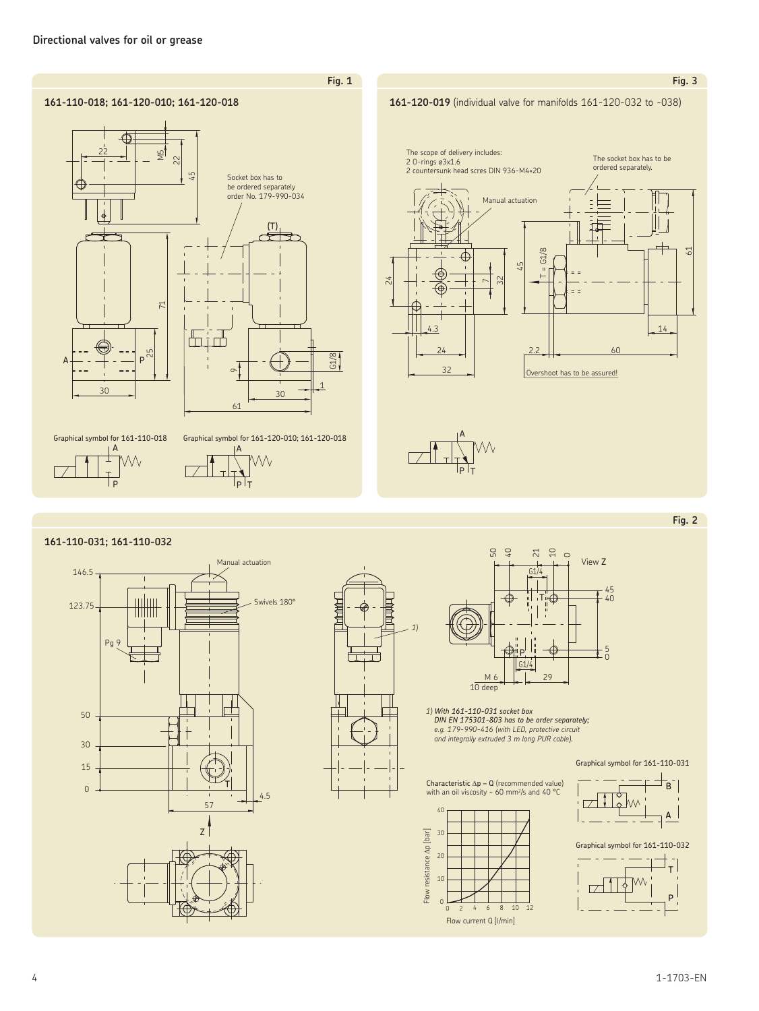

#### **161-110-031; 161-110-032**







*1) With 161-110-031 socket box DIN EN 175301-803 has to be order separately; e.g. 179-990-416 (with LED, protective circuit and integrally extruded 3 m long PUR cable).*















Flow current Q [l/min]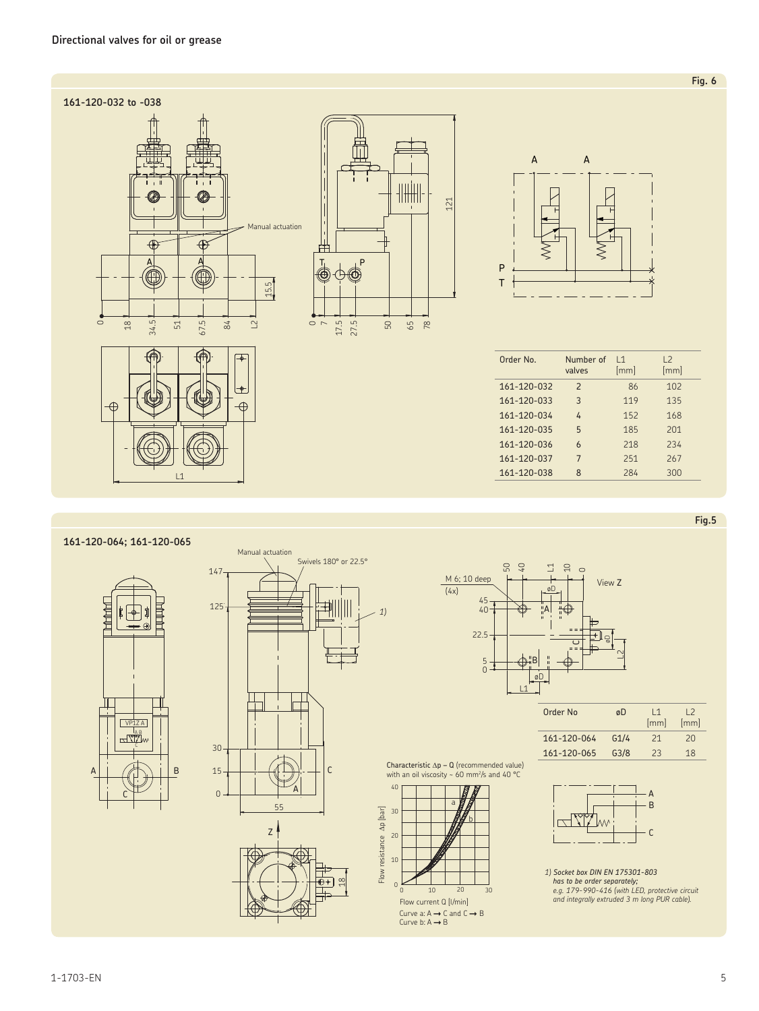

*1)*

**161-120-064; 161-120-065**







| Order No    | øD               | $\overline{11}$<br>[mm] | 12<br>[mm] |
|-------------|------------------|-------------------------|------------|
| 161-120-064 | G1/4             | 21                      | 20         |
| 161-120-065 | G <sub>3/8</sub> | 23                      | 18         |

Characteristic  $\Delta p - Q$  (recommended value)<br>with an oil viscosity ~ 60 mm<sup>2</sup>/s and 40 °C





*1) Socket box DIN EN 175301-803*  **external conducts of the order separately;**<br> **a** and integrally extruded 3 m long PUR cable).<br> **Flow current Q [l/min] and integrally extruded 3 m long PUR cable).** 

**Fig.5**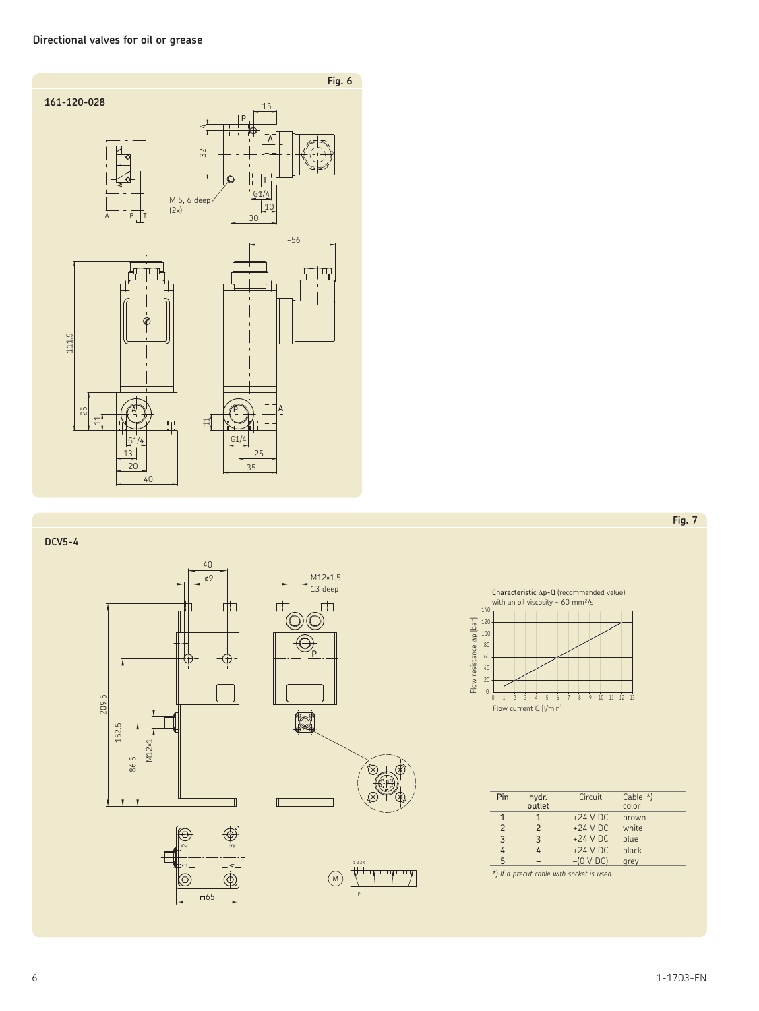

# **DCV5-4**







P  $\binom{M}{M}$ 1 2 3 4

Characteristic ∆p-Q (recommended value) with an oil viscosity ~ 60 mm²/s



| Pin                      | hydr.<br>outlet | Circuit     | Cable $*$ )<br>color |
|--------------------------|-----------------|-------------|----------------------|
| 1                        | 1               | $+24$ V DC  | brown                |
| $\overline{\phantom{0}}$ | $\mathcal{P}$   | $+24$ V DC  | white                |
| 3                        | 3               | $+24$ V DC  | blue                 |
| 4                        | 4               | $+24$ V DC  | black                |
| 5                        |                 | $-(0 V DC)$ | grey                 |

*\*) If a precut cable with socket is used.*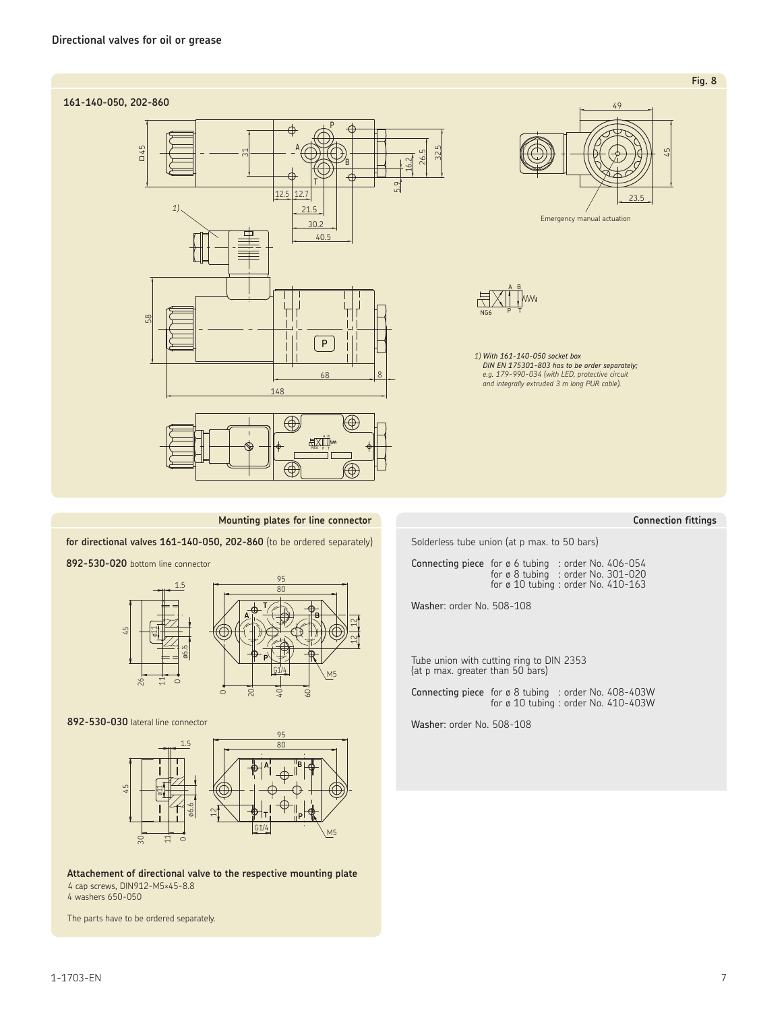# **161-140-050, 202-860**





Emergency manual actuation



32.5

*1) With 161-140-050 socket box DIN EN 175301-803 has to be order separately; e.g. 179-990-034 (with LED, protective circuit and integrally extruded 3 m long PUR cable).*

#### **Mounting plates for line connector**

**for directional valves 161-140-050, 202-860** (to be ordered separately)

**892-530-020** bottom line connector



**892-530-030** lateral line connector



**Attachement of directional valve to the respective mounting plate** 4 cap screws, DIN912-M5×45-8.8 4 washers 650-050

The parts have to be ordered separately.

## **Connection fittings**

**Fig. 8**

Solderless tube union (at p max. to 50 bars)

Connecting piece for ø 6 tubing : order No. 406-054 for ø 8 tubing : order No. 301-020 for ø 10 tubing : order No. 410-163

Washer: order No. 508-108

Tube union with cutting ring to DIN 2353 (at p max. greater than 50 bars)

Connecting piece for ø 8 tubing : order No. 408-403W for ø 10 tubing : order No. 410-403W

Washer: order No. 508-108